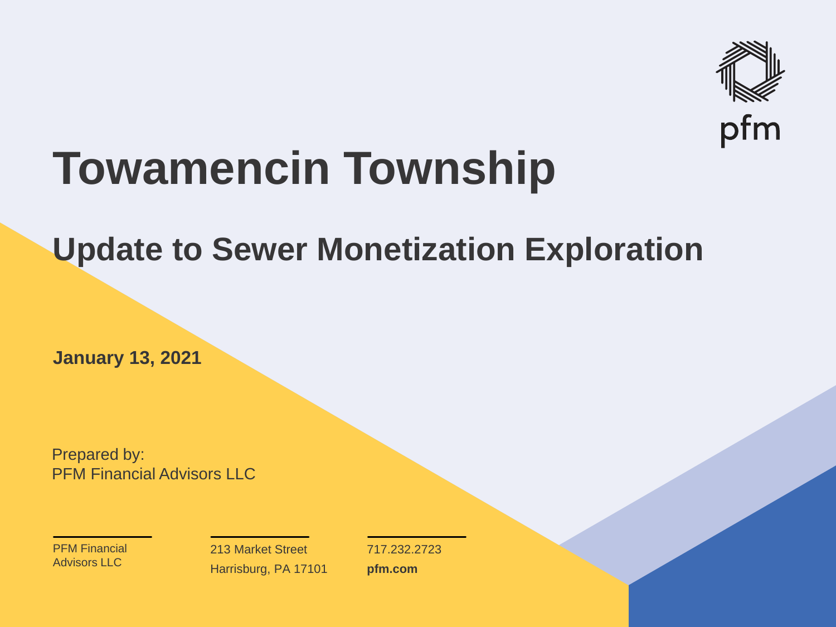

## **Towamencin Township**

#### **Update to Sewer Monetization Exploration**

**January 13, 2021**

Prepared by: PFM Financial Advisors LLC

PFM Financial Advisors LLC

213 Market Street Harrisburg, PA 17101 717.232.2723 **pfm.com**

 $\mathcal{P}_\text{max}$  and  $\mathcal{P}_\text{max}$  is the probability of  $\mathcal{P}_\text{max}$  and  $\mathcal{P}_\text{max}$  and  $\mathcal{P}_\text{max}$  and  $\mathcal{P}_\text{max}$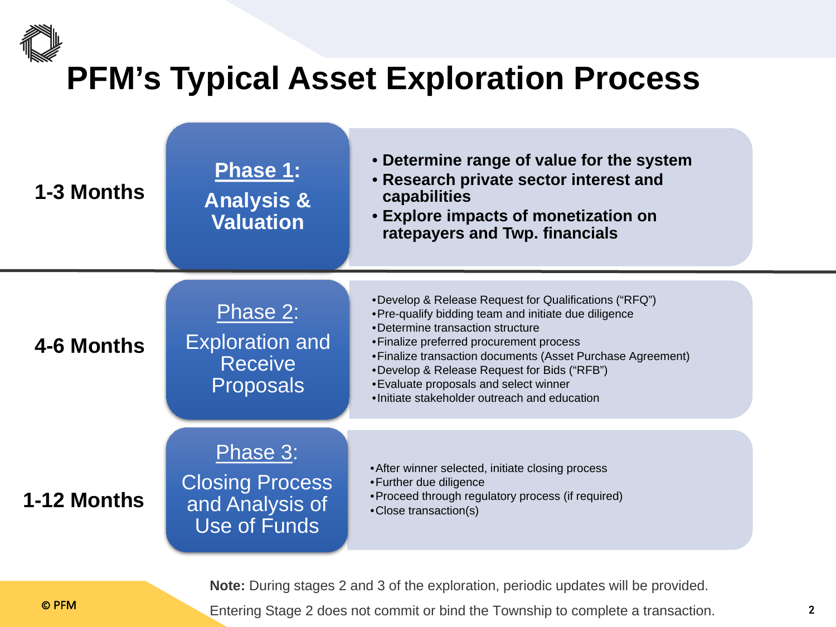## **PFM's Typical Asset Exploration Process**



**Note:** During stages 2 and 3 of the exploration, periodic updates will be provided.

© PFM 2 Entering Stage 2 does not commit or bind the Township to complete a transaction.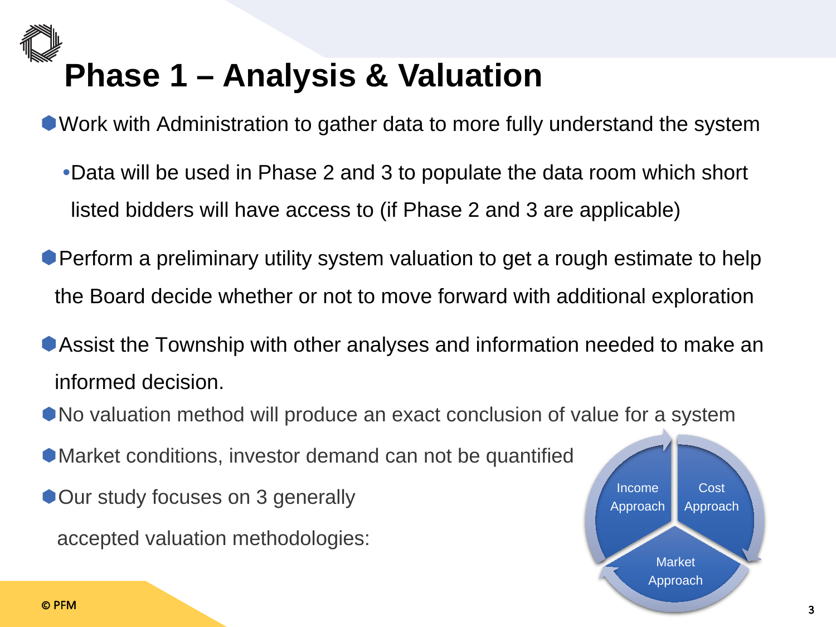## **Phase 1 – Analysis & Valuation**

Work with Administration to gather data to more fully understand the system

- •Data will be used in Phase 2 and 3 to populate the data room which short listed bidders will have access to (if Phase 2 and 3 are applicable)
- **Perform a preliminary utility system valuation to get a rough estimate to help** the Board decide whether or not to move forward with additional exploration
- Assist the Township with other analyses and information needed to make an informed decision.
- No valuation method will produce an exact conclusion of value for a system
- Market conditions, investor demand can not be quantified
- **Our study focuses on 3 generally**

accepted valuation methodologies:

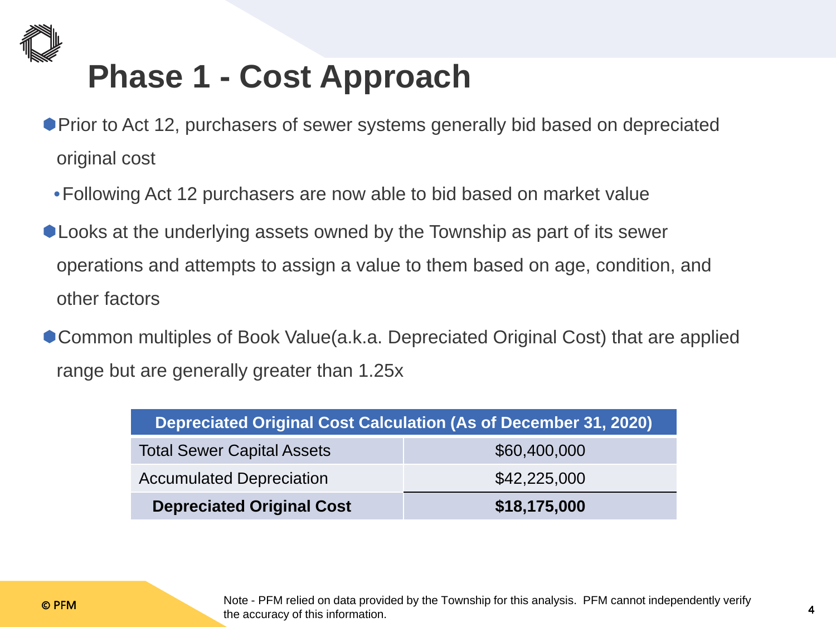

#### **Phase 1 - Cost Approach**

- Prior to Act 12, purchasers of sewer systems generally bid based on depreciated original cost
	- •Following Act 12 purchasers are now able to bid based on market value
- Looks at the underlying assets owned by the Township as part of its sewer operations and attempts to assign a value to them based on age, condition, and other factors
- Common multiples of Book Value(a.k.a. Depreciated Original Cost) that are applied range but are generally greater than 1.25x

| Depreciated Original Cost Calculation (As of December 31, 2020) |              |  |
|-----------------------------------------------------------------|--------------|--|
| <b>Total Sewer Capital Assets</b>                               | \$60,400,000 |  |
| <b>Accumulated Depreciation</b>                                 | \$42,225,000 |  |
| <b>Depreciated Original Cost</b>                                | \$18,175,000 |  |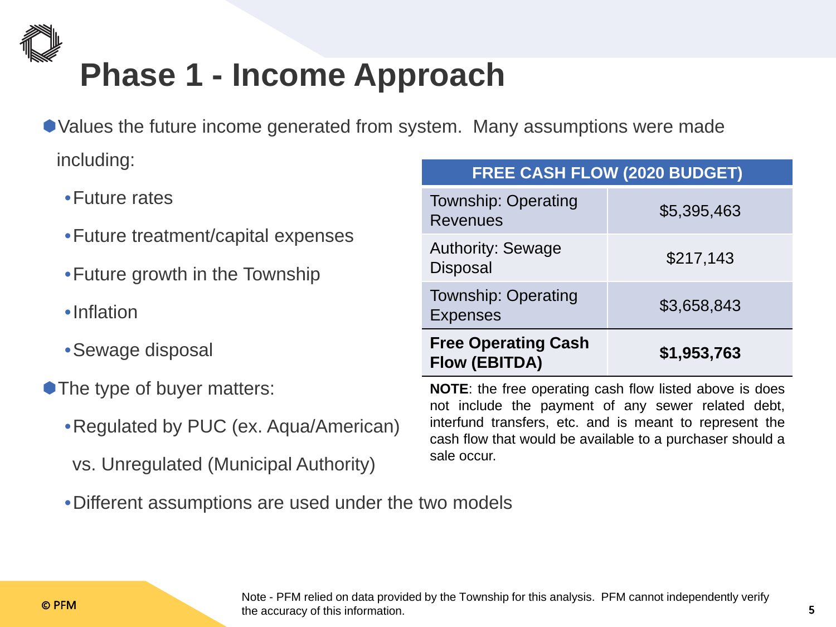

#### **Phase 1 - Income Approach**

- Values the future income generated from system. Many assumptions were made including: **FREE CASH FLOW (2020 BUDGET)**
	- •Future rates
	- •Future treatment/capital expenses
	- •Future growth in the Township
	- •Inflation
	- •Sewage disposal
- **The type of buyer matters:** 
	- •Regulated by PUC (ex. Aqua/American)
	- vs. Unregulated (Municipal Authority)
	- •Different assumptions are used under the two models

| <b>Township: Operating</b><br><b>Revenues</b>      | \$5,395,463 |
|----------------------------------------------------|-------------|
| <b>Authority: Sewage</b><br><b>Disposal</b>        | \$217,143   |
| <b>Township: Operating</b><br><b>Expenses</b>      | \$3,658,843 |
| <b>Free Operating Cash</b><br><b>Flow (EBITDA)</b> | \$1,953,763 |

**NOTE**: the free operating cash flow listed above is does not include the payment of any sewer related debt, interfund transfers, etc. and is meant to represent the cash flow that would be available to a purchaser should a sale occur.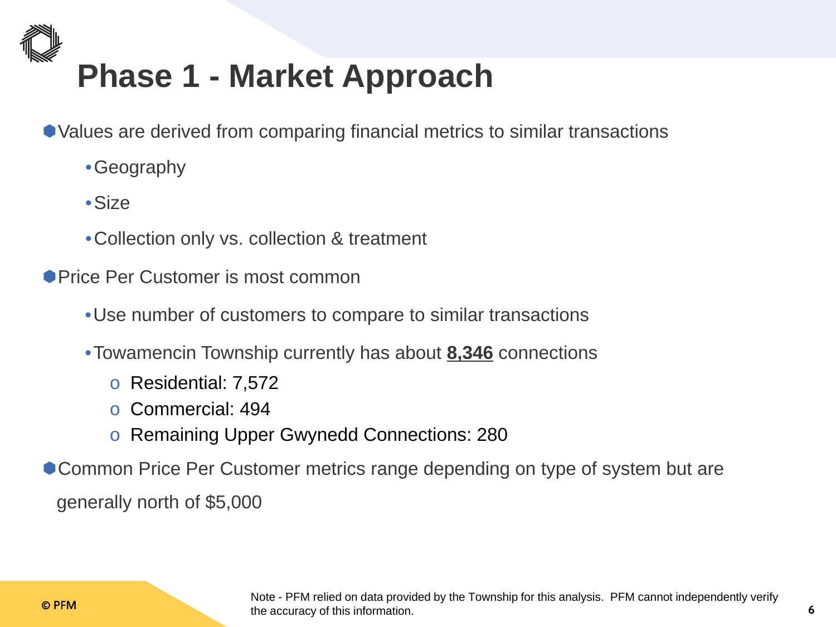

#### **Phase 1 - Market Approach**

- Values are derived from comparing financial metrics to similar transactions
	- •Geography
	- •Size
	- •Collection only vs. collection & treatment
- **Price Per Customer is most common** 
	- •Use number of customers to compare to similar transactions
	- •Towamencin Township currently has about **8,346** connections
		- o Residential: 7,572
		- o Commercial: 494
		- o Remaining Upper Gwynedd Connections: 280
- Common Price Per Customer metrics range depending on type of system but are generally north of \$5,000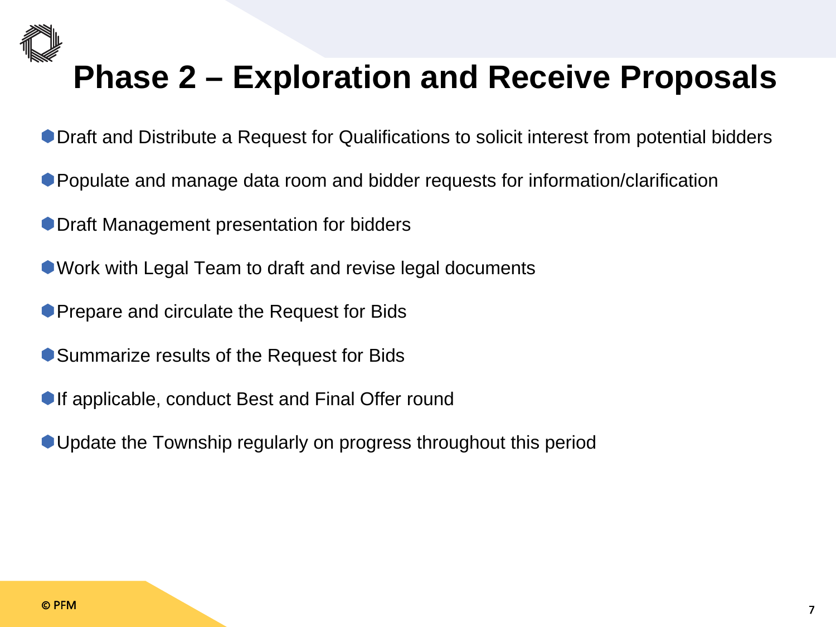

#### **Phase 2 – Exploration and Receive Proposals**

- Draft and Distribute a Request for Qualifications to solicit interest from potential bidders
- Populate and manage data room and bidder requests for information/clarification
- **Draft Management presentation for bidders**
- Work with Legal Team to draft and revise legal documents
- **Prepare and circulate the Request for Bids**
- Summarize results of the Request for Bids
- **If applicable, conduct Best and Final Offer round**
- Update the Township regularly on progress throughout this period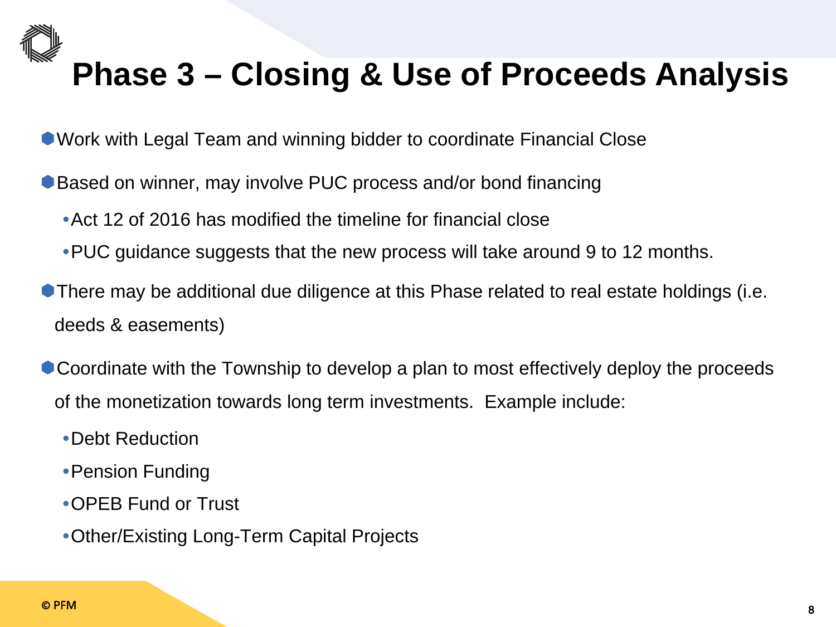

#### **Phase 3 – Closing & Use of Proceeds Analysis**

Work with Legal Team and winning bidder to coordinate Financial Close

- Based on winner, may involve PUC process and/or bond financing
	- •Act 12 of 2016 has modified the timeline for financial close
	- •PUC guidance suggests that the new process will take around 9 to 12 months.
- There may be additional due diligence at this Phase related to real estate holdings (i.e. deeds & easements)
- Coordinate with the Township to develop a plan to most effectively deploy the proceeds of the monetization towards long term investments. Example include:
	- •Debt Reduction
	- •Pension Funding
	- •OPEB Fund or Trust
	- •Other/Existing Long-Term Capital Projects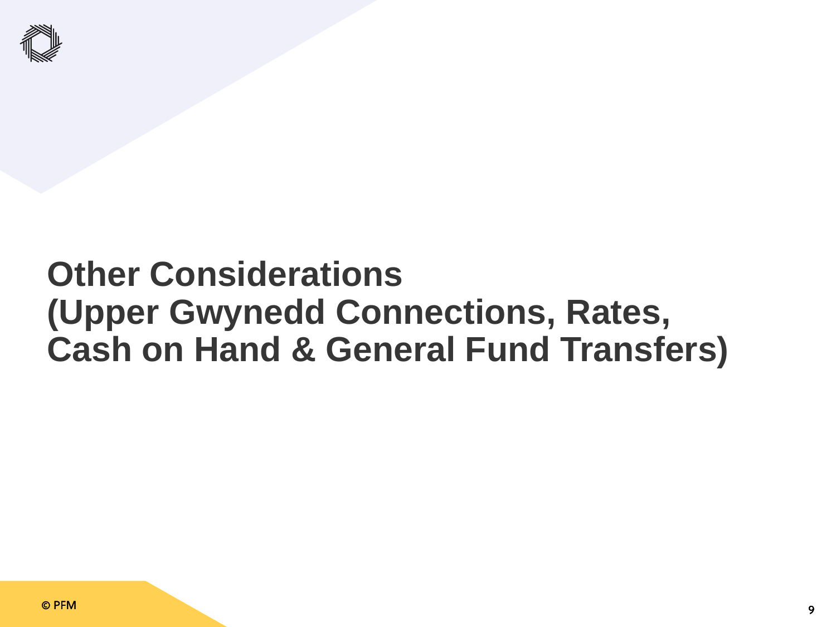

#### **Other Considerations (Upper Gwynedd Connections, Rates, Cash on Hand & General Fund Transfers)**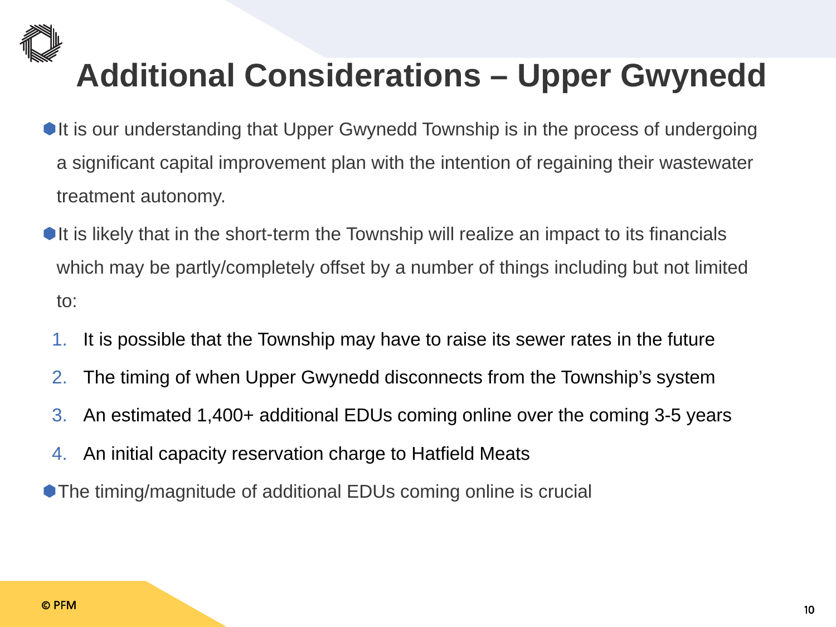

### **Additional Considerations – Upper Gwynedd**

- It is our understanding that Upper Gwynedd Township is in the process of undergoing a significant capital improvement plan with the intention of regaining their wastewater treatment autonomy.
- $\bullet$  It is likely that in the short-term the Township will realize an impact to its financials which may be partly/completely offset by a number of things including but not limited to:
	- 1. It is possible that the Township may have to raise its sewer rates in the future
- 2. The timing of when Upper Gwynedd disconnects from the Township's system
- 3. An estimated 1,400+ additional EDUs coming online over the coming 3-5 years
- 4. An initial capacity reservation charge to Hatfield Meats
- The timing/magnitude of additional EDUs coming online is crucial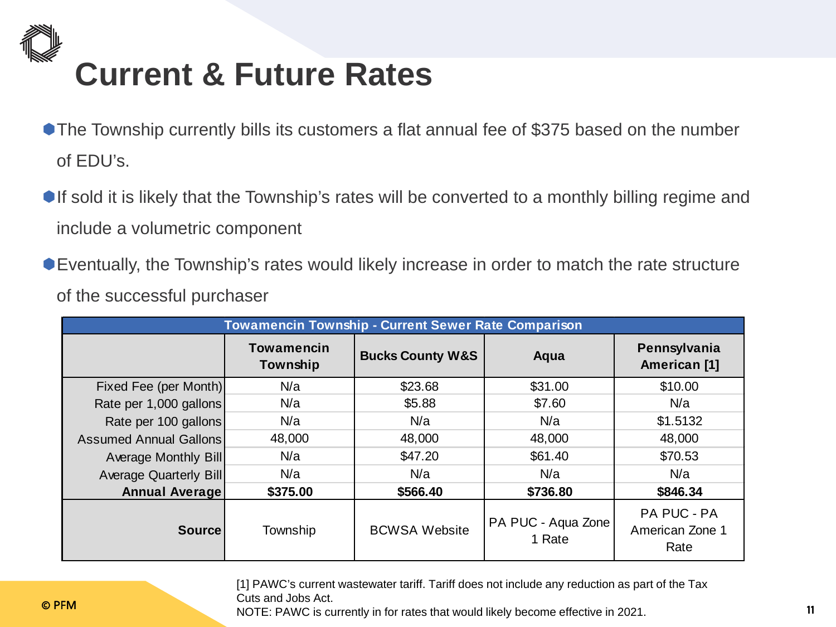

- **The Township currently bills its customers a flat annual fee of \$375 based on the number** of EDU's.
- If sold it is likely that the Township's rates will be converted to a monthly billing regime and include a volumetric component
- Eventually, the Township's rates would likely increase in order to match the rate structure of the successful purchaser

| <b>Towamencin Township - Current Sewer Rate Comparison</b> |                               |                             |                              |                                        |  |
|------------------------------------------------------------|-------------------------------|-----------------------------|------------------------------|----------------------------------------|--|
|                                                            | <b>Towamencin</b><br>Township | <b>Bucks County W&amp;S</b> | Aqua                         | Pennsylvania<br>American [1]           |  |
| Fixed Fee (per Month)                                      | N/a                           | \$23.68                     | \$31.00                      | \$10.00                                |  |
| Rate per 1,000 gallons                                     | N/a                           | \$5.88                      | \$7.60                       | N/a                                    |  |
| Rate per 100 gallons                                       | N/a                           | N/a                         | N/a                          | \$1.5132                               |  |
| <b>Assumed Annual Gallons</b>                              | 48,000                        | 48,000                      | 48,000                       | 48,000                                 |  |
| Average Monthly Bill                                       | N/a                           | \$47.20                     | \$61.40                      | \$70.53                                |  |
| <b>Average Quarterly Bill</b>                              | N/a                           | N/a                         | N/a                          | N/a                                    |  |
| <b>Annual Average</b>                                      | \$375.00                      | \$566.40                    | \$736.80                     | \$846.34                               |  |
| <b>Source</b>                                              | Township                      | <b>BCWSA Website</b>        | PA PUC - Aqua Zone<br>1 Rate | PA PUC - PA<br>American Zone 1<br>Rate |  |

[1] PAWC's current wastewater tariff. Tariff does not include any reduction as part of the Tax Cuts and Jobs Act.

© PFM 11 NOTE: PAWC is currently in for rates that would likely become effective in 2021.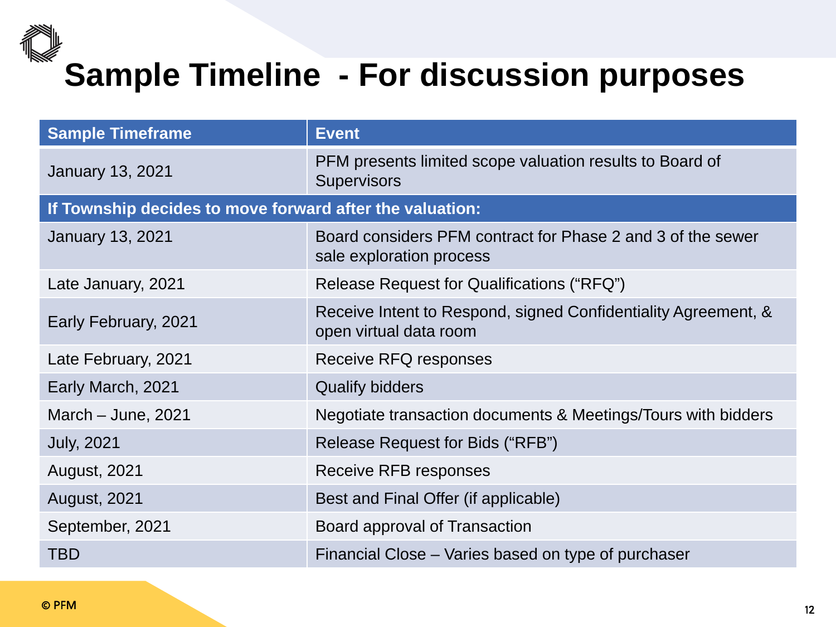# **Sample Timeline - For discussion purposes**

| <b>Sample Timeframe</b>                                  | <b>Event</b>                                                                             |  |  |  |
|----------------------------------------------------------|------------------------------------------------------------------------------------------|--|--|--|
| <b>January 13, 2021</b>                                  | PFM presents limited scope valuation results to Board of<br><b>Supervisors</b>           |  |  |  |
| If Township decides to move forward after the valuation: |                                                                                          |  |  |  |
| <b>January 13, 2021</b>                                  | Board considers PFM contract for Phase 2 and 3 of the sewer<br>sale exploration process  |  |  |  |
| Late January, 2021                                       | Release Request for Qualifications ("RFQ")                                               |  |  |  |
| Early February, 2021                                     | Receive Intent to Respond, signed Confidentiality Agreement, &<br>open virtual data room |  |  |  |
| Late February, 2021                                      | Receive RFQ responses                                                                    |  |  |  |
| Early March, 2021                                        | <b>Qualify bidders</b>                                                                   |  |  |  |
| March $-$ June, 2021                                     | Negotiate transaction documents & Meetings/Tours with bidders                            |  |  |  |
| <b>July, 2021</b>                                        | Release Request for Bids ("RFB")                                                         |  |  |  |
| <b>August, 2021</b>                                      | <b>Receive RFB responses</b>                                                             |  |  |  |
| <b>August, 2021</b>                                      | Best and Final Offer (if applicable)                                                     |  |  |  |
| September, 2021                                          | Board approval of Transaction                                                            |  |  |  |
| <b>TBD</b>                                               | Financial Close – Varies based on type of purchaser                                      |  |  |  |